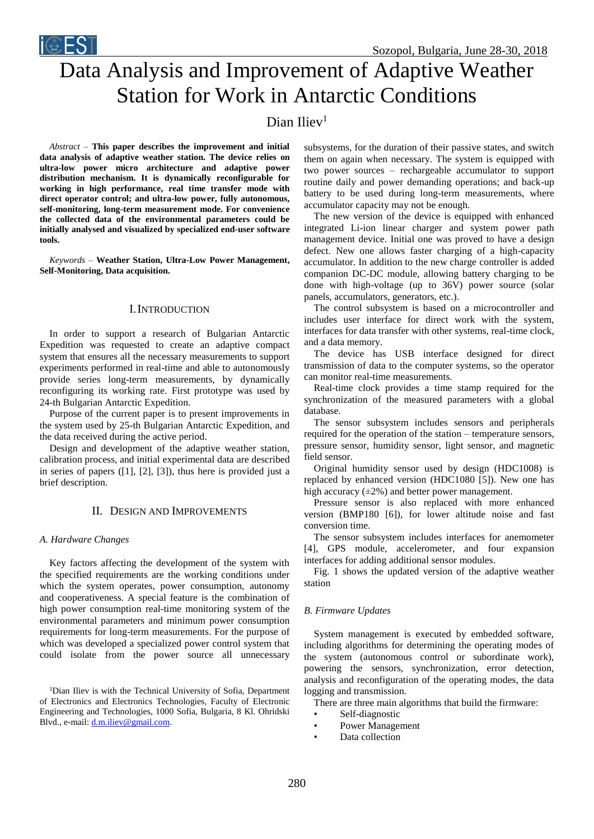



# Data Analysis and Improvement of Adaptive Weather Station for Work in Antarctic Conditions

# Dian Iliev<sup>1</sup>

*Abstract –* **This paper describes the improvement and initial data analysis of adaptive weather station. The device relies on ultra-low power micro architecture and adaptive power distribution mechanism. It is dynamically reconfigurable for working in high performance, real time transfer mode with direct operator control; and ultra-low power, fully autonomous, self-monitoring, long-term measurement mode. For convenience the collected data of the environmental parameters could be initially analysed and visualized by specialized end-user software tools.** 

*Keywords –* **Weather Station, Ultra-Low Power Management, Self-Monitoring, Data acquisition.**

# I.INTRODUCTION

In order to support a research of Bulgarian Antarctic Expedition was requested to create an adaptive compact system that ensures all the necessary measurements to support experiments performed in real-time and able to autonomously provide series long-term measurements, by dynamically reconfiguring its working rate. First prototype was used by 24-th Bulgarian Antarctic Expedition.

Purpose of the current paper is to present improvements in the system used by 25-th Bulgarian Antarctic Expedition, and the data received during the active period.

Design and development of the adaptive weather station, calibration process, and initial experimental data are described in series of papers [\(\[1\],](#page-3-4) [\[2\],](#page-3-5) [\[3\]\)](#page-3-1), thus here is provided just a brief description.

## II. DESIGN AND IMPROVEMENTS

#### *A. Hardware Changes*

Key factors affecting the development of the system with the specified requirements are the working conditions under which the system operates, power consumption, autonomy and cooperativeness. A special feature is the combination of high power consumption real-time monitoring system of the environmental parameters and minimum power consumption requirements for long-term measurements. For the purpose of which was developed a specialized power control system that could isolate from the power source all unnecessary

<sup>1</sup>Dian Iliev is with the Technical University of Sofia, Department of Electronics and Electronics Technologies, Faculty of Electronic Engineering and Technologies, 1000 Sofia, Bulgaria, 8 Kl. Ohridski Blvd., e-mail[: d.m.iliev@gmail.com.](mailto:d.m.iliev@gmail.com)

subsystems, for the duration of their passive states, and switch them on again when necessary. The system is equipped with two power sources – rechargeable accumulator to support routine daily and power demanding operations; and back-up battery to be used during long-term measurements, where accumulator capacity may not be enough.

The new version of the device is equipped with enhanced integrated Li-ion linear charger and system power path management device. Initial one was proved to have a design defect. New one allows faster charging of a high-capacity accumulator. In addition to the new charge controller is added companion DC-DC module, allowing battery charging to be done with high-voltage (up to 36V) power source (solar panels, accumulators, generators, etc.).

The control subsystem is based on a microcontroller and includes user interface for direct work with the system, interfaces for data transfer with other systems, real-time clock, and a data memory.

The device has USB interface designed for direct transmission of data to the computer systems, so the operator can monitor real-time measurements.

Real-time clock provides a time stamp required for the synchronization of the measured parameters with a global database.

The sensor subsystem includes sensors and peripherals required for the operation of the station – temperature sensors, pressure sensor, humidity sensor, light sensor, and magnetic field sensor.

Original humidity sensor used by design (HDC1008) is replaced by enhanced version (HDC1080 [\[5\]\)](#page-3-3). New one has high accuracy  $(\pm 2\%)$  and better power management.

Pressure sensor is also replaced with more enhanced version (BMP180 [\[6\]\)](#page-3-2), for lower altitude noise and fast conversion time.

The sensor subsystem includes interfaces for anemometer [\[4\],](#page-3-0) GPS module, accelerometer, and four expansion interfaces for adding additional sensor modules.

[Fig.](#page-1-0) 1 shows the updated version of the adaptive weather station

#### *B. Firmware Updates*

System management is executed by embedded software, including algorithms for determining the operating modes of the system (autonomous control or subordinate work), powering the sensors, synchronization, error detection, analysis and reconfiguration of the operating modes, the data logging and transmission.

There are three main algorithms that build the firmware:

- Self-diagnostic
- Power Management
- Data collection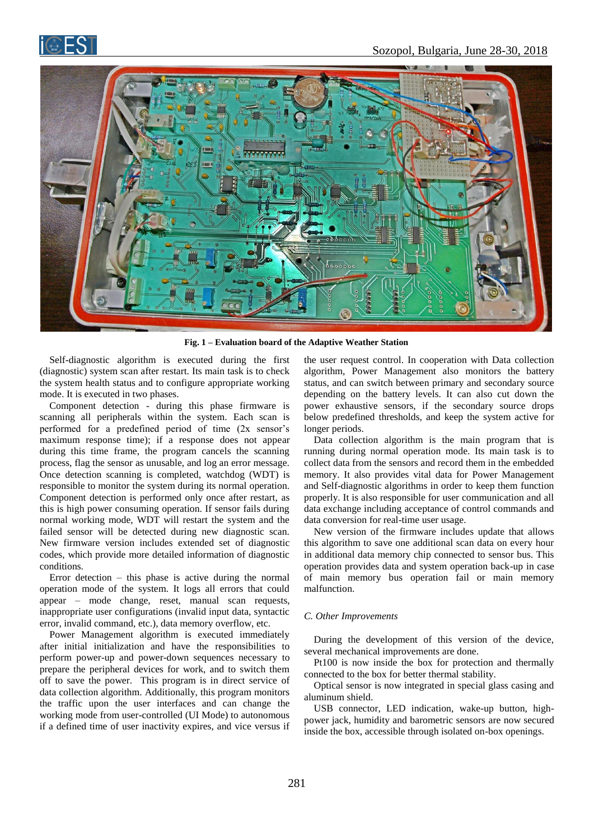



**Fig. 1 – Evaluation board of the Adaptive Weather Station**

<span id="page-1-0"></span>Self-diagnostic algorithm is executed during the first (diagnostic) system scan after restart. Its main task is to check the system health status and to configure appropriate working mode. It is executed in two phases.

Component detection - during this phase firmware is scanning all peripherals within the system. Each scan is performed for a predefined period of time (2x sensor's maximum response time); if a response does not appear during this time frame, the program cancels the scanning process, flag the sensor as unusable, and log an error message. Once detection scanning is completed, watchdog (WDT) is responsible to monitor the system during its normal operation. Component detection is performed only once after restart, as this is high power consuming operation. If sensor fails during normal working mode, WDT will restart the system and the failed sensor will be detected during new diagnostic scan. New firmware version includes extended set of diagnostic codes, which provide more detailed information of diagnostic conditions.

Error detection – this phase is active during the normal operation mode of the system. It logs all errors that could appear – mode change, reset, manual scan requests, inappropriate user configurations (invalid input data, syntactic error, invalid command, etc.), data memory overflow, etc.

Power Management algorithm is executed immediately after initial initialization and have the responsibilities to perform power-up and power-down sequences necessary to prepare the peripheral devices for work, and to switch them off to save the power. This program is in direct service of data collection algorithm. Additionally, this program monitors the traffic upon the user interfaces and can change the working mode from user-controlled (UI Mode) to autonomous if a defined time of user inactivity expires, and vice versus if

the user request control. In cooperation with Data collection algorithm, Power Management also monitors the battery status, and can switch between primary and secondary source depending on the battery levels. It can also cut down the power exhaustive sensors, if the secondary source drops below predefined thresholds, and keep the system active for longer periods.

Data collection algorithm is the main program that is running during normal operation mode. Its main task is to collect data from the sensors and record them in the embedded memory. It also provides vital data for Power Management and Self-diagnostic algorithms in order to keep them function properly. It is also responsible for user communication and all data exchange including acceptance of control commands and data conversion for real-time user usage.

New version of the firmware includes update that allows this algorithm to save one additional scan data on every hour in additional data memory chip connected to sensor bus. This operation provides data and system operation back-up in case of main memory bus operation fail or main memory malfunction.

#### *C. Other Improvements*

During the development of this version of the device, several mechanical improvements are done.

Pt100 is now inside the box for protection and thermally connected to the box for better thermal stability.

Optical sensor is now integrated in special glass casing and aluminum shield.

USB connector, LED indication, wake-up button, highpower jack, humidity and barometric sensors are now secured inside the box, accessible through isolated on-box openings.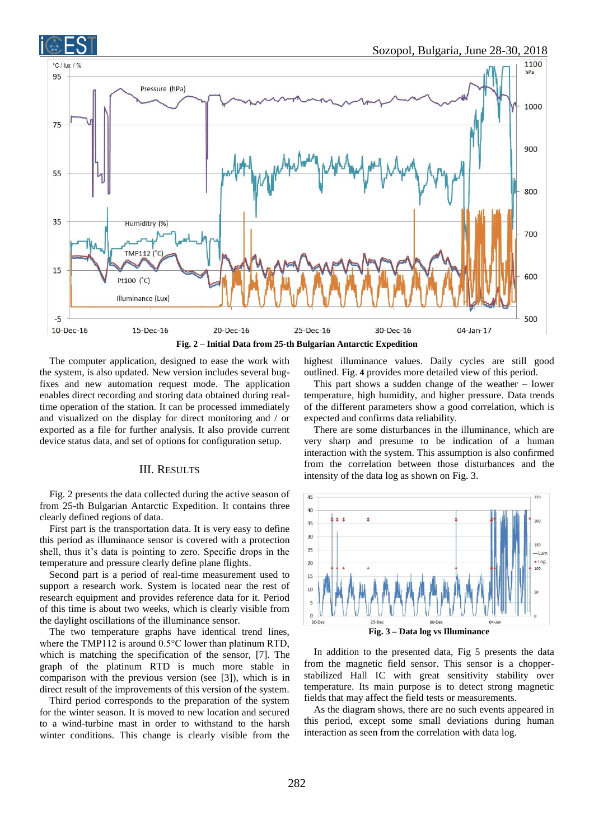



<span id="page-2-0"></span>The computer application, designed to ease the work with the system, is also updated. New version includes several bugfixes and new automation request mode. The application enables direct recording and storing data obtained during realtime operation of the station. It can be processed immediately and visualized on the display for direct monitoring and / or exported as a file for further analysis. It also provide current device status data, and set of options for configuration setup.

### III. RESULTS

[Fig.](#page-2-0) 2 presents the data collected during the active season of from 25-th Bulgarian Antarctic Expedition. It contains three clearly defined regions of data.

First part is the transportation data. It is very easy to define this period as illuminance sensor is covered with a protection shell, thus it's data is pointing to zero. Specific drops in the temperature and pressure clearly define plane flights.

Second part is a period of real-time measurement used to support a research work. System is located near the rest of research equipment and provides reference data for it. Period of this time is about two weeks, which is clearly visible from the daylight oscillations of the illuminance sensor.

The two temperature graphs have identical trend lines, where the TMP112 is around 0.5°C lower than platinum RTD, which is matching the specification of the sensor, [\[7\].](#page-3-8) The graph of the platinum RTD is much more stable in comparison with the previous version (see [\[3\]\)](#page-3-1), which is in direct result of the improvements of this version of the system.

Third period corresponds to the preparation of the system for the winter season. It is moved to new location and secured to a wind-turbine mast in order to withstand to the harsh winter conditions. This change is clearly visible from the highest illuminance values. Daily cycles are still good outlined. [Fig.](#page-3-6) **4** provides more detailed view of this period.

This part shows a sudden change of the weather – lower temperature, high humidity, and higher pressure. Data trends of the different parameters show a good correlation, which is expected and confirms data reliability.

There are some disturbances in the illuminance, which are very sharp and presume to be indication of a human interaction with the system. This assumption is also confirmed from the correlation between those disturbances and the intensity of the data log as shown o[n Fig.](#page-2-1) 3.



<span id="page-2-1"></span>In addition to the presented data, [Fig](#page-3-7) 5 presents the data from the magnetic field sensor. This sensor is a chopperstabilized Hall IC with great sensitivity stability over temperature. Its main purpose is to detect strong magnetic fields that may affect the field tests or measurements.

As the diagram shows, there are no such events appeared in this period, except some small deviations during human interaction as seen from the correlation with data log.